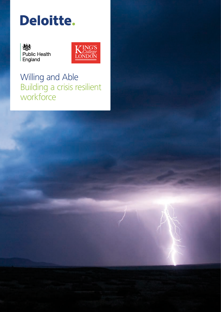# Deloitte.





Willing and Able Building a crisis resilient workforce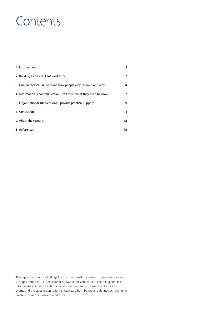# **Contents**

| 1. Introduction                                                   |    |
|-------------------------------------------------------------------|----|
| 2. Building a crisis resilient workforce                          | 2  |
| 3. Human factors – understand how people may respond and why      |    |
| 4. Information & communication – tell them what they need to know | 7  |
| 5. Organisational interventions – provide practical support       | 9  |
| 6. Conclusion                                                     |    |
| 7. About the research                                             |    |
| 8. References                                                     | 13 |

This report sets out our findings from ground-breaking research supervised by King's College London (KCL), Department of War Studies and Public Health England (PHE) into the likely variations in human and organisational response to extreme crisis events and the steps organisations should take both before and during such events to create a more crisis resilient workforce.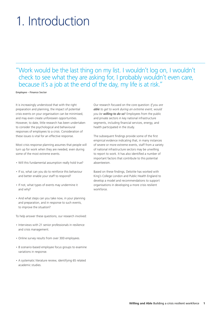# 1. Introduction

"Work would be the last thing on my list. I wouldn't log on, I wouldn't check to see what they are asking for, I probably wouldn't even care, because it's a job at the end of the day, my life is at risk."

Employee – Finance Sector

It is increasingly understood that with the right preparation and planning, the impact of potential crisis events on your organisation can be minimised, and may even create unforeseen opportunities. However, to date, little research has been undertaken to consider the psychological and behavioural responses of employees to a crisis. Consideration of these issues is vital for an effective response.

Most crisis response planning assumes that people will turn up for work when they are needed, even during some of the most extreme events.

- Will this fundamental assumption really hold true?
- If so, what can you do to reinforce this behaviour and better enable your staff to respond?
- If not, what types of events may undermine it and why?
- And what steps can you take now, in your planning and preparation, and in response to such events, to improve the situation?

To help answer these questions, our research involved:

- Interviews with 21 senior professionals in resilience and crisis management.
- Online survey results from over 300 employees.
- 8 scenario-based employee focus groups to examine variations in response.
- A systematic literature review, identifying 65 related academic studies.

Our research focused on the core question: *If you are able to get to work during an extreme event, would you be willing to do so*? Employees from the public and private sectors in key national infrastructure segments, including financial services, energy, and health participated in the study.

The subsequent findings provide some of the first empirical evidence indicating that, in many instances of severe or more extreme events, staff from a variety of national infrastructure sectors may be unwilling to report to work. It has also identified a number of important factors that contribute to this potential absenteeism.

Based on these findings, Deloitte has worked with King's College London and Public Health England to develop a model and recommendations to support organisations in developing a more crisis resilient workforce.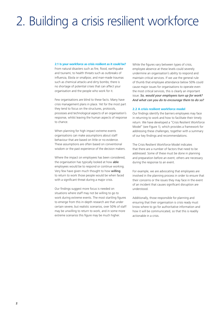# 2. Building a crisis resilient workforce

#### **2.1 Is your workforce as crisis resilient as it could be?**

From natural disasters such as fire, flood, earthquake and tsunami; to health threats such as outbreaks of influenza, Ebola or smallpox; and man-made traumas such as chemical attacks and dirty bombs; there is no shortage of potential crises that can affect your organisation and the people who work for it.

Few organisations are blind to these facts. Many have crisis management plans in place. Yet for the most part they tend to focus on the structures, protocols, processes and technological aspects of an organisation's response, whilst leaving the human aspects of response to chance.

When planning for high impact extreme events organisations can make assumptions about staff behaviour that are based on little or no evidence. These assumptions are often based on conventional wisdom or the past experience of the decision makers.

Where the impact on employees has been considered, the organisation has typically looked at how able employees would be to respond or continue working. Very few have given much thought to how willing to return to work those people would be when faced with a significant threat during a major crisis.

Our findings suggest more focus is needed on situations where staff may not be willing to go to work during extreme events. The most startling figures to emerge from this in-depth research are that under certain severe, but realistic scenarios, over 50% of staff may be unwilling to return to work, and in some more extreme scenarios this figure may be much higher.

While the figures vary between types of crisis, employee absence at these levels could severely undermine an organisation's ability to respond and maintain critical services. If we use the general rule of thumb that employee attendance below 50% could cause major issues for organisations to operate even the most critical services, this is clearly an important issue. *So, would your employees turn up for work? And what can you do to encourage them to do so?*

### **2.2 A crisis resilient workforce model**

Our findings identify the barriers employees may face in returning to work and how to facilitate their timely return. We have developed a "Crisis Resilient Workforce Model" (see Figure 1), which provides a framework for addressing these challenges, together with a summary of our key findings and recommendations.

The Crisis Resilient Workforce Model indicates that there are a number of factors that need to be addressed. Some of these must be done in planning and preparation before an event; others are necessary during the response to an event.

For example, we are advocating that employees are involved in the planning process in order to ensure that their concerns or the issues they may face in the event of an incident that causes significant disruption are understood.

Additionally, those responsible for planning and ensuring that their organisation is crisis ready must know where to go for authoritative information and how it will be communicated, so that this is readily actionable in a crisis.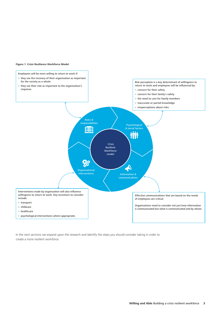#### **Figure 1. Crisis Resilience Workforce Model**



In the next sections we expand upon the research and identify the steps you should consider taking in order to create a more resilient workforce.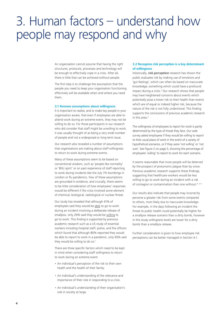# 3. Human factors – understand how people may respond and why

An organisation cannot assume that having the right structures, protocols, processes and technology will be enough to effectively cope in a crisis. After all, there is little that can be achieved without people.

The first step is to challenge the assumption that the people you need to keep your organisation functioning effectively will be available when and where you need them.

#### **3.1 Remove assumptions about willingness**

It is important to realise, and to make key people in your organisation aware, that even if employees are able to attend work during an extreme event, they may not be willing to do so. For those participants in our research who did consider that staff might be unwilling to work, it was usually thought of as being a very small number of people and not a widespread or long-term issue.

Our research also revealed a number of assumptions that organisations are making about staff willingness to return to work during extreme events.

Many of these assumptions seem to be based on conventional wisdom, such as 'people like normality' or 'Blitz spirit' or on past experience of staff reporting to work during incidents like the July 7th bombings in London or flu pandemics. Few of these assumptions are grounded in evidence, and crucially, there seems to be little consideration of how employees' responses would be different if the crisis involved some element of chemical, biological, radiological or nuclear threat.

Our study has revealed that although 41% of employees said they would be able to go to work during an incident involving a deliberate release of smallpox, only 29% said they would be willing to go to work. This finding is supported by previous academic research such as a US study of essential workers including hospital staff, police, and fire officers which found that although 80% reported they would be able to report to work in a pandemic, only 65% said they would be willing to do so.<sup>1</sup>

There are three specific factors which need to be kept in mind when considering staff willingness to return to work during an extreme event:

- An individual's perception of the risk to their own health and the health of their family.
- An individual's understanding of the relevance and importance of their role in responding to a crisis.
- An individual's understanding of their organisation's role in society at large.

## **3.2 Recognise risk perception is a key determinant of willingness**

Historically, *risk perception* research has shown the public evaluates risk by making use of emotions and 'gut feelings', which can often be based on inaccurate knowledge; something which could have a profound impact during a crisis.<sup>2</sup> Our research shows that people may have heightened concerns about events which potentially pose a lower risk to their health than events which are of equal or indeed higher risk, because the nature of the risk is not fully understood. This finding supports the conclusions of previous academic research in this area.3

The willingness of employees to report for work is partly determined by the type of threat they face. Our web survey asked employees if they would be willing to report to their usual place of work in the event of a variety of hypothetical scenarios, or if they were 'not willing' or 'not sure'. See Figure 2 on page 5, showing the percentage of employees 'willing' to report to work for each scenario.

It seems reasonable that more people will be deterred by the prospect of pneumonic plague than by snow. Previous academic research supports these findings, suggesting that healthcare workers would be less willing to go to work during an incident with a risk of contagion or contamination than one without.<sup>4, 5, 6</sup>

Our results also indicate that people may incorrectly perceive a greater risk from some events compared to others, most likely due to inaccurate knowledge. For example, in the days following an incident the threat to public health could potentially be higher for a smallpox release scenario than a dirty bomb, however in this study willingness levels are lower for a dirty bomb than a smallpox release.

Further consideration is given to how employee risk perceptions can be better managed in Section 4.1.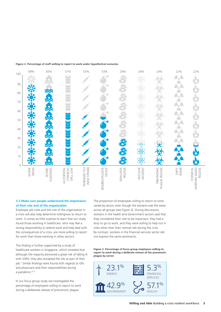#### **Figure 2. Percentage of staff willing to report to work under hypothetical scenarios**



### **3.3 Make sure people understand the importance of their role and of the organisation**

Employee job roles and the role of the organisation in a crisis will also help determine willingness to return to work. It comes as little surprise to learn that our study found those working in healthcare, who may feel a strong responsibility to attend work and help deal with the consequences of a crisis, are more willing to report for work than those working in other sectors.

This finding is further supported by a study of healthcare workers in Singapore, which revealed that although the majority perceived a great risk of falling ill with SARS, they also accepted the risk as part of their job.7 Similar findings were found with regards to GPs and physicians and their responsibilities during a pandemic.<sup>8, 9</sup>

In our focus group study we investigated the percentage of employees willing to report to work during a deliberate release of pneumonic plague.

The proportion of employees willing to return to work varied by sector, even though the scenario was the same across all groups (see Figure 3). During discussions, workers in the health and Government sectors said that they considered their role to be important, they had a duty to go to work, and they were willing to help out in roles other than their normal role during the crisis. By contrast, workers in the financial services sector did not express the same sentiments.

**Figure 3. Percentage of focus group employees willing to report to work during a delibrate release of the pneumonic plague by sector**

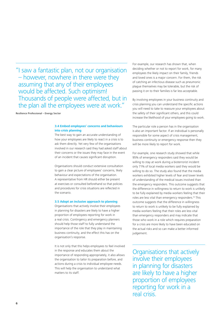"I saw a fantastic plan, not our organisation – however, nowhere in there were they assuming that any of their employees would be affected. Such optimism! Thousands of people were affected, but in the plan all the employees were at work."

Resilience Professional – Energy Sector

## **3.4 Embed employees' concerns and behaviours into crisis planning**

The best way to gain an accurate understanding of how your employees are likely to react in a crisis is to ask them directly. Yet very few of the organisations involved in our research said they had asked staff about their concerns or the issues they may face in the event of an incident that causes significant disruption.

Organisations should conduct extensive consultation to gain a clear picture of employees' concerns, likely behaviour and expectations of the organisation. A representative from HR should either be present at exercises or consulted beforehand so that policies and procedures for crisis situations are reflected in the scenario.

### **3.5 Adopt an inclusive approach to planning**

Organisations that actively involve their employees in planning for disasters are likely to have a higher proportion of employees reporting for work in a real crisis. Contingency and emergency planners should help those staff to fully understand the importance of the role that they play in maintaining business continuity, and the effect this has on the organisation's response.

It is not only that this helps employees to feel involved in the response and educates them about the importance of responding appropriately, it also allows the organisation to tailor its preparation before, and actions during a crisis to individual employee needs. This will help the organisation to understand what matters to its staff.

For example, our research has shown that, when deciding whether or not to report for work, for many employees the likely impact on their family, friends and loved ones is a major concern. For them, the risk of catching an infectious disease such as pneumonic plague themselves may be tolerable, but the risk of passing it on to their families is far less acceptable.

By involving employees in your business continuity and crisis planning you can understand the specific actions you will need to take to reassure your employees about the safety of their significant others, and this could increase the likelihood of your employees going to work.

The particular role a person has in the organisation is also an important factor. If an individual is personally responsible for some aspect of crisis management, business continuity or emergency response then they will be more likely to report for work.

For example, one research study showed that while 95% of emergency responders said they would be willing to stay at work during a bioterrorist incident only 71% of local media workers said they would be willing to do so. The study also found that the media workers exhibited higher levels of fear and lower levels of understanding of the medical issues involved than the emergency responders. This outcome suggests that the difference in willingness to return to work is unlikely to be fully explained by media workers feeling that their roles are less vital than emergency responders.10 This outcome suggests that the difference in willingness to return to work is unlikely to be fully explained by media workers feeling that their roles are less vital than emergency responders and may indicate that those who work in a role which requires preparation for a crisis are more likely to have been educated on the actual risks and so can make a better informed judgement.

Organisations that actively involve their employees in planning for disasters are likely to have a higher proportion of employees reporting for work in a real crisis.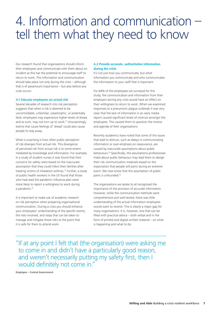# 4. Information and communication – tell them what they need to know

Our research found that organisations should inform their employees and communicate with them about an incident as this has the potential to encourage staff to return to work. This information and communication should take place not only during the crisis – although that is of paramount importance – but also before any crisis occurs.

#### **4.1 Educate employees on actual risk**

Several decades of research into risk perception suggests that when a risk is deemed to be uncontrollable, unfamiliar, catastrophic, or potentially fatal, employees may experience higher levels of dread, and as such, may not turn up to work.<sup>11</sup> Unsurprisingly events that cause feelings of 'dread' could also cause people to stay away.

What is surprising is how often public perception of risk diverges from actual risk. This divergence of perceived risk from actual risk is to some extent mediated by knowledge and information. For example, in a study of student nurses it was found that their concerns for safety were based on the inaccurate assumption that they could infect their families after treating victims of inhalation anthrax.12 Further, a study of public health workers in the US found that those who had read the pandemic influenza plan were more likely to report a willingness to work during a pandemic.<sup>13</sup>

It is important to make use of academic research on risk perception when preparing organisational communication. During a crisis you should enhance your employees' understanding of the specific events, the risks involved, and steps that can be taken to manage and mitigate those risks to the point that it is safe for them to attend work.

## **4.2 Provide accurate, authoritative information during the crisis**

It's not just *how* you communicate, but *what* information you communicate and *who* communicates the information to your staff that is important.

For 64% of the employees we surveyed for this study, the communication and information from their employers during any crisis would have an effect on their willingness to return to work. When we examined responses to a pneumonic plague outbreak it was very clear that the lack of information in an early media report caused significant levels of mistrust amongst the employees. This caused them to question the motive and agenda of their organisations.

Recently academics have noted that some of the issues that lead to distrust, such as delays in communicating information or over-emphasis on reassurance, are caused by inaccurate assumptions about public behaviours.14 Specifically, the assumptions professionals make about public behaviour may lead them to design their risk communication materials based on the expectation that people will panic during an extreme event. We now know that this assumption of public panic is unfounded.15

The organisations we spoke to all recognised the importance of the provision of accurate information. However, while the communication methods were comprehensive and well-tested, there was little understanding of the actual information employees would want to receive. This is clearly a major gap for many organisations. It is, however, one that can be filled with practical advice – both verbal and in the form of printed and digital written material – on what is happening and what to do.

"If at any point I felt that (the organisation) were asking me to come in and didn't have a particularly good reason, and weren't necessarily putting my safety first, then I would definitely not come in."

Employee – Central Government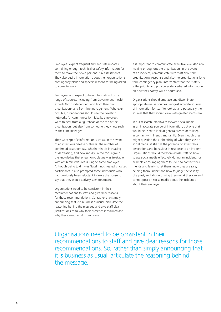Employees expect frequent and accurate updates containing enough technical or safety information for them to make their own personal risk assessments. They also desire information about their organisation's contingency plans and specific reasons for being asked to come to work.

Employees also expect to hear information from a range of sources, including from Government, health experts (both independent and from their own organisation), and from line management. Wherever possible, organisations should use their existing networks for communication. Ideally, employees want to hear from a figurehead at the top of the organisation, but also from someone they know such as their line manager.

They want specific information such as, in the event of an infectious disease outbreak, the number of confirmed cases per day, whether that is increasing or decreasing, and how rapidly. In the focus groups, the knowledge that pneumonic plague was treatable with antibiotics was reassuring to some employees. Although being told it was 'fatal if not treated' shocked participants, it also prompted some individuals who had previously been reluctant to leave the house to say that they would actively seek treatment.

Organisations need to be consistent in their recommendations to staff and give clear reasons for those recommendations. So, rather than simply announcing that it is business as usual, articulate the reasoning behind the message and give staff clear justifications as to why their presence is required and why they cannot work from home.

It is important to communicate executive level decisionmaking throughout the organisation. In the event of an incident, communicate with staff about the organisation's response and also the organisation's long term contingency plan. Inform staff that their safety is the priority and provide evidence-based information on how their safety will be addressed.

Organisations should embrace and disseminate appropriate media sources. Suggest accurate sources of information for staff to look at, and potentially the sources that they should view with greater scepticism.

In our research, employees viewed social media as an inaccurate source of information, but one that would be used to look at general trends or to keep in contact with friends and family. Even though they might question the authenticity of what they see on social media, it still has the potential to affect their perceptions and behaviour in response to an incident. Organisations should therefore advise staff on how to use social media effectively during an incident, for example encouraging them to use it to contact their friends and family to let them know they are safe, helping them understand how to judge the validity of a post, and also informing them what they can and cannot post on social media about the incident or about their employer.

Organisations need to be consistent in their recommendations to staff and give clear reasons for those recommendations. So, rather than simply announcing that it is business as usual, articulate the reasoning behind the message.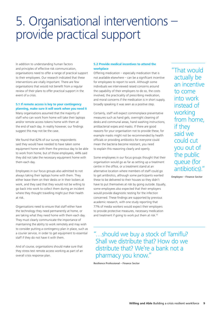# 5. Organisational interventions – provide practical support

In addition to understanding human factors and principles of effective risk communication, organisations need to offer a range of practical support to their employees. Our research indicated that these interventions are vitally important. There are few organisations that would not benefit from a regular review of their plans to offer practical support in the event of a crisis.

# **5.1 If remote access is key to your contingency planning, make sure it will work when you need it**

Many organisations assumed that the majority of staff who can work from home will take their laptops and/or remote access tokens home with them at the end of each day. In reality however, our findings suggest this may not be the case.

We found that 62% of our survey respondents said they would have needed to have taken some equipment home with them the previous day to be able to work from home, but of those employees, 44% said they did not take the necessary equipment home with them each day.

Employees in our focus groups also admitted to not always taking their laptops home with them. They either leave them on their desks or in their lockers at work, and they said that they would not be willing to go back into work to collect them during an incident where they thought travelling might put their health at risk.

Organisations need to ensure that staff either have the technology they need permanently at home, or are taking what they need home with them each day. They must clearly communicate the importance of maintaining the ability to work remotely and may wish to consider putting a contingency plan in place, such as a courier service, in order to get equipment to essential staff if they do not have it with them.

And of course, organisations should make sure that they stress test remote access working as part of an overall crisis response plan.

# **5.2 Provide medical incentives to attend the workplace**

Offering medication – especially medication that is not available elsewhere – can be a significant incentive for employees to report to work. Although some individuals we interviewed raised concerns around the capability of their employers to do so, the costs involved, the practicality of prescribing medication, and moral concerns if the medication is in short supply, broadly speaking it was seen as a positive step.

Certainly, staff will expect commonplace preventative measures such as hand gels, overnight cleaning of desks and communal areas, hand washing instructions, antibacterial wipes and masks. If there are good reasons for your organisation not to provide these, for example masks might not be recommended by health officials or providing antibiotics for everyone could mean the bacteria become resistant, you need to explain this reasoning clearly and openly.

Some employees in our focus groups thought that their organisation would go as far as setting up a treatment centre in the office, or a treatment stand at an alternative location where members of staff could go to get antibiotics, although some participants wanted these to be delivered to their houses so they didn't have to put themselves at risk by going outside. Equally, some employees also expected that their employers would provide diagnostic testing for the infection concerned. These findings are supported by previous academic research, with one study reporting that 77% of media workers would expect their employers to provide protective measures, necessary medication and treatment if going to work put them at risk.<sup>10</sup>

"That would actually be an incentive to come into work instead of working from home, if they said we could cut you out of the public queue (for antibiotics)."

Employee – Finance Sector

"…should we buy a stock of Tamiflu? Shall we distribute that? How do we distribute that? We're a bank not a pharmacy you know."

Resilience Professional – Finance Sector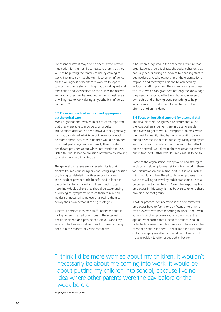For essential staff it may also be necessary to provide medication for their family to reassure them that they will not be putting their family at risk by coming to work. Past research has shown this to be an influence on the willingness of healthcare workers to report to work, with one study finding that providing antiviral medication and vaccinations to the nurses themselves and also to their families resulted in the highest levels of willingness to work during a hypothetical influenza pandemic.16

### **5.3 Focus on practical support and appropriate psychological care**

Many organisations involved in our research reported that they were able to provide psychological interventions after an incident; however they generally had not considered what type of intervention would be most appropriate. Most said they would be advised by a third-party organisation, usually their private healthcare provider, about which intervention to use. Often this would be the provision of trauma counselling to all staff involved in an incident.

The general consensus among academics is that blanket trauma counselling or conducting single session psychological debriefing with everyone involved in an incident provides little benefit, and in fact has the potential to do more harm than good.<sup>17</sup> It can make individuals believe they should be experiencing psychological symptoms or force them to relive an incident unnecessarily, instead of allowing them to deploy their own personal coping strategies.

A better approach is to help staff understand that it is okay to feel stressed or anxious in the aftermath of a major incident, and provide conspicuous and easy access to further support services for those who may need it in the months or years that follow.

It has been suggested in the academic literature that organisations should facilitate the social cohesion that naturally occurs during an incident by enabling staff to get involved and take ownership of the organisation's response and recovery.18 This can be achieved by including staff in planning the organisation's response to a crisis which can give them not only the knowledge they need to respond effectively, but also a sense of ownership and of having done something to help, which can in turn help them to feel better in the aftermath of an incident.

### **5.4 Focus on logistical support for essential staff**

The final piece of the jigsaw is to ensure that all of the logistical arrangements are in place to enable employees to get to work. 'Transport problems' were the most frequently cited barrier to reporting to work during a serious incident in our study. Many employees said that a fear of contagion or of a secondary attack on the network would make them reluctant to travel by public transport. Others would simply refuse to do so.

Some of the organisations we spoke to had strategies in place to help employees get to or from work if there was disruption on public transport, but it was unclear if this would also be offered to those employees who were not willing to travel by public transport due to a perceived risk to their health. Given the responses from employees in this study, it may be wise to extend these provisions to that group.

Another practical consideration is the commitments employees have to family or significant others, which may prevent them from reporting to work. In our web survey 96% of employees with children under the age of five reported that a need for childcare could potentially prevent them from reporting to work in the event of a serious incident. To maximise the likelihood of those employees attending work, employers could make provision to offer or support childcare.

"I think I'd be more worried about my children. It wouldn't necessarily be about me coming into work, it would be about putting my children into school, because I've no idea where other parents were the day before or the week before."

Employee – Energy Sector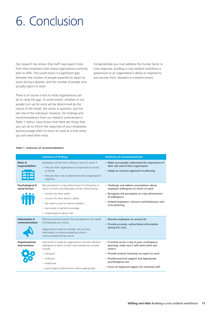# 6. Conclusion

Our research has shown that staff may expect more from their employers than many organisations currently plan to offer. This could result in a significant gap between the number of people expected to report to work during a disaster, and the number of people who actually report to work.

There is of course a limit to what organisations can do to close this gap. To some extent, whether or not people turn up for work will be determined by the nature of the threat, the sector in question, and the job role of the individual. However, the findings and recommendations from our research summarised in Table 1, below, have shown that there are things that you can do to inform the responses of your employees and encourage them to return to work at a time when you will need them most.

Fundamentally you must address the human factor in crisis response; building a crisis resilient workforce is paramount to an organisation's ability to respond to, and recover from, disasters or extreme events.

|                                            | <b>Summary of findings</b>                                                                                                                                                                                                                                                                        | <b>Summary of recommendations</b>                                                                                                                                                                                                                                                  |
|--------------------------------------------|---------------------------------------------------------------------------------------------------------------------------------------------------------------------------------------------------------------------------------------------------------------------------------------------------|------------------------------------------------------------------------------------------------------------------------------------------------------------------------------------------------------------------------------------------------------------------------------------|
| <b>Roles &amp;</b><br>responsibilities     | Employees will be more willing to return to work if:<br>• they see their organisation as important to society<br>as whole<br>• they see their role as important to the organisation's<br>response.                                                                                                | • Make sure people understand the importance of<br>their role and of their organisation<br>• Adopt an inclusive approach to planning.                                                                                                                                              |
| Psychological &<br>social factors          | Risk perception is a key determinant of willingness to<br>return to work and employees will be influenced by:<br>• concern for their safety<br>• concern for their family's safety<br>• the need to care for family members<br>• inaccurate or partial knowledge<br>• misperceptions about risks. | • Challenge and address assumptions about<br>employee willingness to return to work<br>• Recognise risk perception as a key determinant<br>of willingness<br>• Embed employees' concerns and behaviours into<br>crisis planning.                                                   |
| <b>Information &amp;</b><br>communications | Effective communications that are based on the needs<br>of employees are critical.<br>Organisations need to consider not just how<br>information is communicated but what is<br>communicated and by whom.                                                                                         | • Educate employees on actual risk<br>• Provide accurate, authoritative information<br>during the crisis.                                                                                                                                                                          |
| Organisational<br>interventions            | Interventions made by organisations will also influence<br>willingness to return to work. Key incentives to consider<br>include:<br>• transport<br>· childcare<br>• healthcare<br>• psychological interventions where appropriate.                                                                | • If remote access is key to your contingency<br>planning, make sure it will work when you<br>need it<br>• Provide medical incentives to report to work<br>• Provide practical support and appropriate<br>psychological care<br>• Focus on logistical support for essential staff. |

#### **Table 1. Summary of recommendations**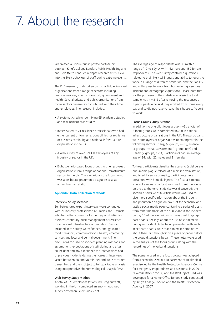# 7. About the research

We created a unique public-private partnership between King's College London, Public Health England and Deloitte to conduct in-depth research at PhD level into the likely behaviour of staff during extreme events.

The PhD research, undertaken by Lorna Riddle, involved organisations from a range of sectors including financial services, energy, transport, government and health. Several private and public organisations from those sectors generously contributed with their time and employees. The research included:

- A systematic review identifying 65 academic studies and real incident case studies.
- Interviews with 21 resilience professionals who had either current or former responsibilities for resilience or business continuity at a national infrastructure organisation in the UK.
- A web survey of over 321 UK employees of any industry or sector in the UK.
- Eight scenario-based focus groups with employees of organisations from a range of national infrastructure sectors in the UK. The scenario for the focus groups was a deliberate pneumonic plague release at a mainline train station.

### **Appendix: Data Collection Methods**

### Interview Study Method:

Semi-structured expert interviews were conducted with 21 industry professionals (20 males and 1 female) who had either current or former responsibilities for business continuity, crisis management or resilience for a national infrastructure organisation. Sectors included in the study were: finance, energy, water, food, transport, communications, health, emergency services and local and central government. The discussions focused on incident planning methods and assumptions, expectations of staff during and after an incident and any experience the interviewees had of previous incidents during their careers. Interviews lasted between 30 and 90 minutes and were recorded, transcribed and then subject to full qualitative analysis using Interpretative Phenomenological Analysis (IPA).

#### Web Survey Study Method:

A total of 321 employees (of any industry) currently working in the UK completed an anonymous web survey hosted on SelectSurvey.net.

The average age of respondents was 38 (with a range of 19 to 69yrs), with 162 male and 159 female respondents. The web survey contained questions related to their likely willingness and ability to report to work in a range of different scenarios, and their ability and willingness to work from home during a serious incident and demographic questions. Please note that for the purposes of the statistical analysis the total sample was  $n = 312$  after removing the responses of 9 participants who said they worked from home every day and so did not have to leave their house to 'report to work'.

# Focus Groups Study Method:

In addition to one pilot focus group (n=5), a total of 8 focus groups were completed (n=53) in national infrastructure organisations in the UK. The participants were employees of organisations operating within the following sectors: Energy (2 groups, n=13), Finance (3 groups, n=19), Government (1 group, n=7) and Health (2 groups, n=14). Participants had an average age of 34, with 22 males and 31 females.

To help participants visualise the scenario (a deliberate pneumonic plague release at a mainline train station) and to add a sense of reality, participants were presented with 3 media injects. The first, a 5 minute video of a news broadcast was used to set the scene on the day the terrorist device was discovered; the second a news website article which was used to give more specific information about the incident and pneumonic plague on day 5 of the scenario; and lastly a social media page containing a series of posts from other members of the public about the incident on day 16 of the scenario which was used to gauge participants' feelings about the use of social media during an incident. After being presented with each inject participants were asked to make some notes about their 'first thoughts' on a piece of paper before the group discussions began. These notes were used in the analysis of the focus groups along with the recordings of the verbal discussions.

The scenario used in the focus groups was adapted from a scenario used in a Department of Health field exercise led by the Health Protection Agency's Centre for Emergency Preparedness and Response in 2009 ('Exercise Black Crocus') and the DVD inject used was developed for a Home Office funded study conducted by King's College London and the Health Protection Agency in 2007.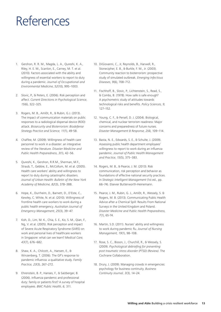# References

- 1. Gershon, R. R. M., Magda, L. A., Qureshi, K. A., Riley, H. E. M., Scanlon, E., Carney, M. T. et al. (2010). Factors associated with the ability and willingness of essential workers to report to duty during a pandemic. *Journal of Occupational and Environmental Medicine*, *52*(10), 995–1003.
- 2. Slovic, P., & Peters, E. (2006). Risk perception and affect. *Current Directions in Psychological Science, 15*(6), 322–325.
- 3. Rogers, M. B., Amlôt, R., & Rubin, G.J. (2013). The impact of communication materials on public responses to a radiological dispersal device (RDD) attack. *Biosecurity and Bioterrorism: Biodefense Strategy Practice and Science, 11(*1), 49-58.
- 4. Chaffee, M. (2009). Willingness of health care personnel to work in a disaster: an integrative review of the literature. *Disaster Medicine and Public Health Preparedness, 3*(1), 42–56.
- 5. Qureshi, K., Gershon, R.R.M., Sherman, M.F., Straub, T., Gebbie, E., McCollum, M. et al. (2005). Health care workers' ability and willingness to report to duty during catastrophic disasters. *Journal of Urban Health: Bulletin of the New York Academy of Medicine, 82*(3), 378–388.
- 6. Hope, K., Durrheim, D., Barnett, D., D'Este, C., Kewley, C. White, N. et al. (2010). Willingness of frontline health care workers to work during a public health emergency. *Australian Journal of Emergency Management, 25*(3), 39–47.
- 7. Koh, D., Lim, M. K., Chia, S. E., Ko, S. M., Qian, F., Ng, V. et al. (2005). Risk perception and impact of Severe Acute Respiratory Syndrome (SARS) on work and personal lives of healthcare workers in Singapore: what can we learn? *Medical Care, 43*(7), 676–682.
- 8. Shaw, K. A., Chilcott, A., Hansen, E., & Winzenberg, T. (2006). The GP's response to pandemic influenza: a qualitative study. *Family Practice, 23*(3), 267–272.
- 9. Ehrenstein, B. P., Hanses, F., & Salzberger, B. (2006). Influenza pandemic and professional duty: family or patients first? A survey of hospital employees. *BMC Public Health, 6,* 311.
- 10. DiGiovanni, C., Jr, Reynolds, B., Harwell, R., Stonecipher, E. B., & Burkle, F. M., Jr. (2003). Community reaction to bioterrorism: prospective study of simulated outbreak. *Emerging Infectious Diseases, 9*(6), 708–712.
- 11. Fischhoff, B., Slovic, P., Lichtenstein, S., Read, S., & Combs, B. (1978). How safe is safe enough? A psychometric study of attitudes towards technological risks and benefits. *Policy Sciences, 9*, 127–152.
- 12. Young, C. F., & Persell, D. J. (2004). Biological, chemical, and nuclear terrorism readiness: Major concerns and preparedness of future nurses. *Disaster Management & Response, 2*(4), 109–114.
- 13. Basta, N. E., Edwards, S. E., & Schulte, J. (2009). Assessing public health department employees' willingness to report to work during an influenza pandemic. *Journal of Public Health Management and Practice, 15*(5), 375–383.
- 14. Rogers, M. B., & Pearce, J. M. (2013). Risk communication, risk perception and behavior as foundations of effective national security practices. In *Strategic Intelligent Management* (1st ed., pp. 66–74). Elsevier Butterworth-Heinemann.
- 15. Pearce, J. M., Rubin, G. J., Amlôt, R., Wessely, S. & Rogers, M. B. (2013). Communicating Public Health Advice after a Chemical Spill: Results From National Surveys in the United Kingdom and Poland. *Disaster Medicine and Public Health Preparedness, 7*(1), 65-74.
- 16. Martin, S.D. (2011). Nurses' ability and willingness to work during pandemic flu. *Journal of Nursing Management, 19*(1), 98–108.
- 17. Rose, S. C., Bisson, J., Churchill, R., & Wessely, S. (2009). *Psychological debriefing for preventing post traumatic stress disorder (PTSD) (Review)*. The Cochrane Collaboration.
- 18. Drury, J. (2009). Managing crowds in emergencies: psychology for business continuity. *Business Continuity Journal, 3*(3), 14–24.